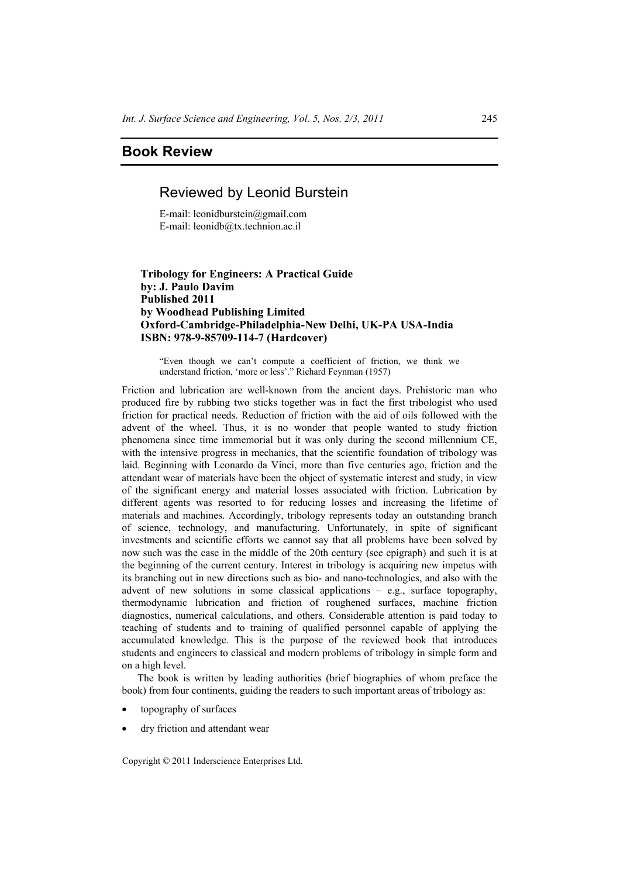# **Book Review**

# Reviewed by Leonid Burstein

E-mail: leonidburstein@gmail.com E-mail: leonidb@tx.technion.ac.il

### **Tribology for Engineers: A Practical Guide by: J. Paulo Davim Published 2011 by Woodhead Publishing Limited Oxford-Cambridge-Philadelphia-New Delhi, UK-PA USA-India ISBN: 978-9-85709-114-7 (Hardcover)**

"Even though we can't compute a coefficient of friction, we think we understand friction, 'more or less'." Richard Feynman (1957)

Friction and lubrication are well-known from the ancient days. Prehistoric man who produced fire by rubbing two sticks together was in fact the first tribologist who used friction for practical needs. Reduction of friction with the aid of oils followed with the advent of the wheel. Thus, it is no wonder that people wanted to study friction phenomena since time immemorial but it was only during the second millennium CE, with the intensive progress in mechanics, that the scientific foundation of tribology was laid. Beginning with Leonardo da Vinci, more than five centuries ago, friction and the attendant wear of materials have been the object of systematic interest and study, in view of the significant energy and material losses associated with friction. Lubrication by different agents was resorted to for reducing losses and increasing the lifetime of materials and machines. Accordingly, tribology represents today an outstanding branch of science, technology, and manufacturing. Unfortunately, in spite of significant investments and scientific efforts we cannot say that all problems have been solved by now such was the case in the middle of the 20th century (see epigraph) and such it is at the beginning of the current century. Interest in tribology is acquiring new impetus with its branching out in new directions such as bio- and nano-technologies, and also with the advent of new solutions in some classical applications – e.g., surface topography, thermodynamic lubrication and friction of roughened surfaces, machine friction diagnostics, numerical calculations, and others. Considerable attention is paid today to teaching of students and to training of qualified personnel capable of applying the accumulated knowledge. This is the purpose of the reviewed book that introduces students and engineers to classical and modern problems of tribology in simple form and on a high level.

The book is written by leading authorities (brief biographies of whom preface the book) from four continents, guiding the readers to such important areas of tribology as:

- topography of surfaces
- dry friction and attendant wear

Copyright © 2011 Inderscience Enterprises Ltd.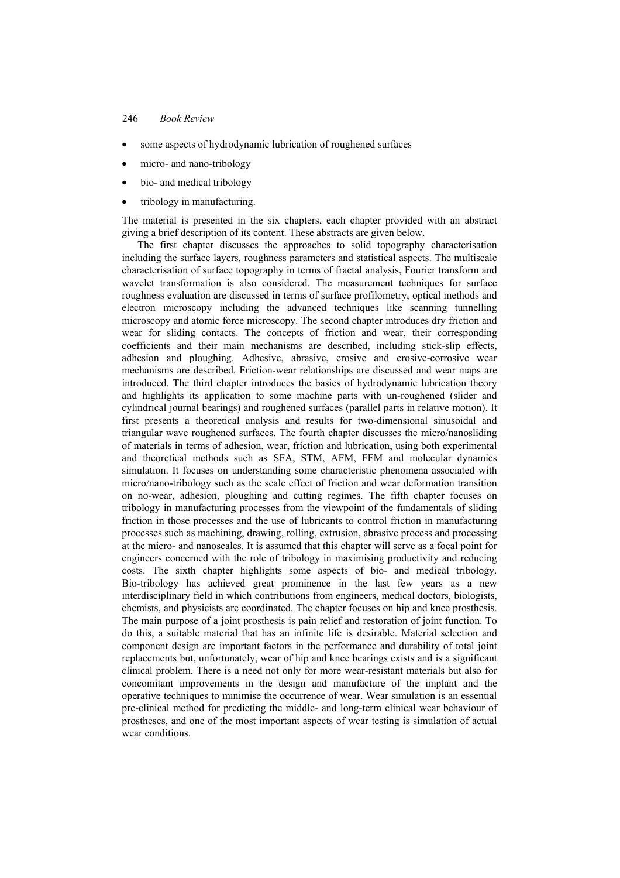### 246 *Book Review*

- some aspects of hydrodynamic lubrication of roughened surfaces
- micro- and nano-tribology
- bio- and medical tribology
- tribology in manufacturing.

The material is presented in the six chapters, each chapter provided with an abstract giving a brief description of its content. These abstracts are given below.

The first chapter discusses the approaches to solid topography characterisation including the surface layers, roughness parameters and statistical aspects. The multiscale characterisation of surface topography in terms of fractal analysis, Fourier transform and wavelet transformation is also considered. The measurement techniques for surface roughness evaluation are discussed in terms of surface profilometry, optical methods and electron microscopy including the advanced techniques like scanning tunnelling microscopy and atomic force microscopy. The second chapter introduces dry friction and wear for sliding contacts. The concepts of friction and wear, their corresponding coefficients and their main mechanisms are described, including stick-slip effects, adhesion and ploughing. Adhesive, abrasive, erosive and erosive-corrosive wear mechanisms are described. Friction-wear relationships are discussed and wear maps are introduced. The third chapter introduces the basics of hydrodynamic lubrication theory and highlights its application to some machine parts with un-roughened (slider and cylindrical journal bearings) and roughened surfaces (parallel parts in relative motion). It first presents a theoretical analysis and results for two-dimensional sinusoidal and triangular wave roughened surfaces. The fourth chapter discusses the micro/nanosliding of materials in terms of adhesion, wear, friction and lubrication, using both experimental and theoretical methods such as SFA, STM, AFM, FFM and molecular dynamics simulation. It focuses on understanding some characteristic phenomena associated with micro/nano-tribology such as the scale effect of friction and wear deformation transition on no-wear, adhesion, ploughing and cutting regimes. The fifth chapter focuses on tribology in manufacturing processes from the viewpoint of the fundamentals of sliding friction in those processes and the use of lubricants to control friction in manufacturing processes such as machining, drawing, rolling, extrusion, abrasive process and processing at the micro- and nanoscales. It is assumed that this chapter will serve as a focal point for engineers concerned with the role of tribology in maximising productivity and reducing costs. The sixth chapter highlights some aspects of bio- and medical tribology. Bio-tribology has achieved great prominence in the last few years as a new interdisciplinary field in which contributions from engineers, medical doctors, biologists, chemists, and physicists are coordinated. The chapter focuses on hip and knee prosthesis. The main purpose of a joint prosthesis is pain relief and restoration of joint function. To do this, a suitable material that has an infinite life is desirable. Material selection and component design are important factors in the performance and durability of total joint replacements but, unfortunately, wear of hip and knee bearings exists and is a significant clinical problem. There is a need not only for more wear-resistant materials but also for concomitant improvements in the design and manufacture of the implant and the operative techniques to minimise the occurrence of wear. Wear simulation is an essential pre-clinical method for predicting the middle- and long-term clinical wear behaviour of prostheses, and one of the most important aspects of wear testing is simulation of actual wear conditions.